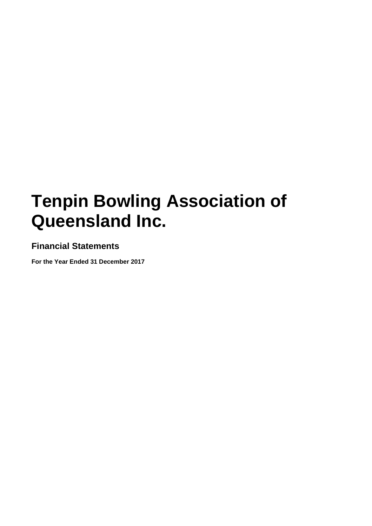# **Financial Statements**

**For the Year Ended 31 December 2017**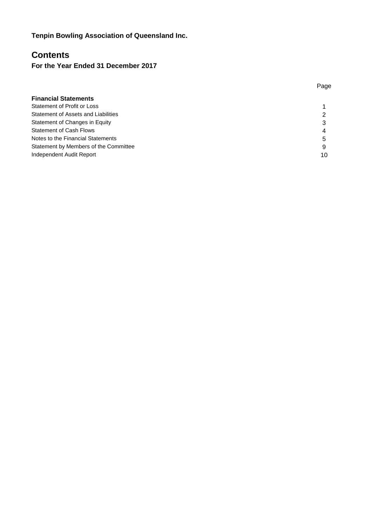# **Contents**

**For the Year Ended 31 December 2017**

| <b>Financial Statements</b>           |    |
|---------------------------------------|----|
| Statement of Profit or Loss           |    |
| Statement of Assets and Liabilities   | 2  |
| Statement of Changes in Equity        | 3  |
| <b>Statement of Cash Flows</b>        | 4  |
| Notes to the Financial Statements     | 5  |
| Statement by Members of the Committee | 9  |
| Independent Audit Report              | 10 |

Page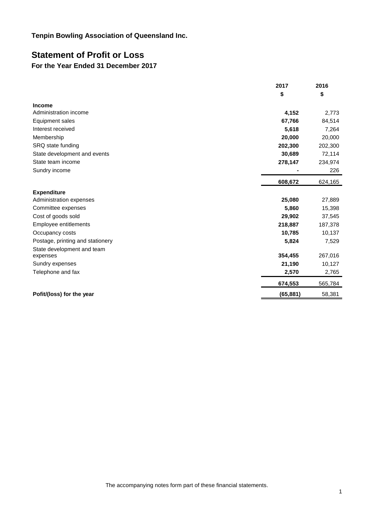# **Statement of Profit or Loss**

# **For the Year Ended 31 December 2017**

|                                  | 2017      | 2016    |
|----------------------------------|-----------|---------|
|                                  | \$        | \$      |
| <b>Income</b>                    |           |         |
| Administration income            | 4,152     | 2,773   |
| Equipment sales                  | 67,766    | 84,514  |
| Interest received                | 5,618     | 7,264   |
| Membership                       | 20,000    | 20,000  |
| SRQ state funding                | 202,300   | 202,300 |
| State development and events     | 30,689    | 72,114  |
| State team income                | 278,147   | 234,974 |
| Sundry income                    |           | 226     |
|                                  | 608,672   | 624,165 |
| <b>Expenditure</b>               |           |         |
| Administration expenses          | 25,080    | 27,889  |
| Committee expenses               | 5,860     | 15,398  |
| Cost of goods sold               | 29,902    | 37,545  |
| Employee entitlements            | 218,887   | 187,378 |
| Occupancy costs                  | 10,785    | 10,137  |
| Postage, printing and stationery | 5,824     | 7,529   |
| State development and team       |           |         |
| expenses                         | 354,455   | 267,016 |
| Sundry expenses                  | 21,190    | 10,127  |
| Telephone and fax                | 2,570     | 2,765   |
|                                  | 674,553   | 565,784 |
| Pofit/(loss) for the year        | (65, 881) | 58,381  |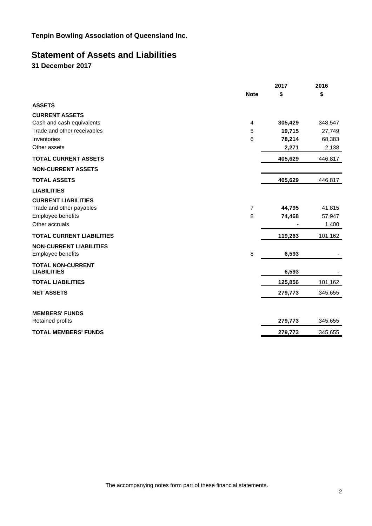# **Statement of Assets and Liabilities**

**31 December 2017**

|                                  |                | 2017    | 2016    |
|----------------------------------|----------------|---------|---------|
|                                  | <b>Note</b>    | \$      | \$      |
| <b>ASSETS</b>                    |                |         |         |
| <b>CURRENT ASSETS</b>            |                |         |         |
| Cash and cash equivalents        | 4              | 305,429 | 348,547 |
| Trade and other receivables      | 5              | 19,715  | 27,749  |
| Inventories                      | 6              | 78,214  | 68,383  |
| Other assets                     |                | 2,271   | 2,138   |
| <b>TOTAL CURRENT ASSETS</b>      |                | 405,629 | 446,817 |
| <b>NON-CURRENT ASSETS</b>        |                |         |         |
| <b>TOTAL ASSETS</b>              |                | 405,629 | 446,817 |
| <b>LIABILITIES</b>               |                |         |         |
| <b>CURRENT LIABILITIES</b>       |                |         |         |
| Trade and other payables         | $\overline{7}$ | 44,795  | 41,815  |
| Employee benefits                | 8              | 74,468  | 57,947  |
| Other accruals                   |                |         | 1,400   |
| <b>TOTAL CURRENT LIABILITIES</b> |                | 119,263 | 101,162 |
| <b>NON-CURRENT LIABILITIES</b>   |                |         |         |
| Employee benefits                | 8              | 6,593   |         |
| <b>TOTAL NON-CURRENT</b>         |                |         |         |
| <b>LIABILITIES</b>               |                | 6,593   |         |
| <b>TOTAL LIABILITIES</b>         |                | 125,856 | 101,162 |
| <b>NET ASSETS</b>                |                | 279,773 | 345,655 |
|                                  |                |         |         |
| <b>MEMBERS' FUNDS</b>            |                |         |         |
| <b>Retained profits</b>          |                | 279,773 | 345,655 |
| <b>TOTAL MEMBERS' FUNDS</b>      |                | 279,773 | 345,655 |
|                                  |                |         |         |

The accompanying notes form part of these financial statements.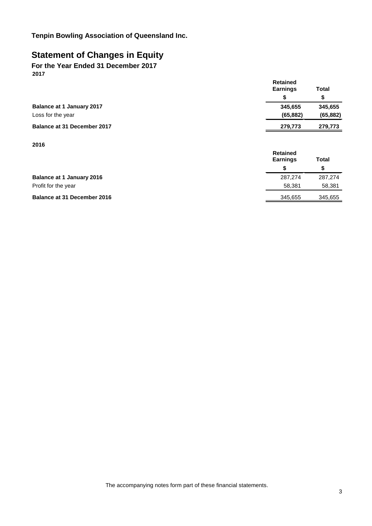# **Statement of Changes in Equity**

**For the Year Ended 31 December 2017 2017**

|                                    | <b>Retained</b><br><b>Earnings</b> | <b>Total</b> |
|------------------------------------|------------------------------------|--------------|
|                                    | \$                                 | \$           |
| <b>Balance at 1 January 2017</b>   | 345,655                            | 345,655      |
| Loss for the year                  | (65, 882)                          | (65, 882)    |
| <b>Balance at 31 December 2017</b> | 279,773                            | 279,773      |
| 2016                               |                                    |              |
|                                    | <b>Retained</b><br><b>Earnings</b> | <b>Total</b> |
|                                    | \$                                 | \$           |
| <b>Balance at 1 January 2016</b>   | 287,274                            | 287.274      |

Profit for the year 58,381 58,381

**Balance at 31 December 2016** 345,655 345,655 345,655

The accompanying notes form part of these financial statements.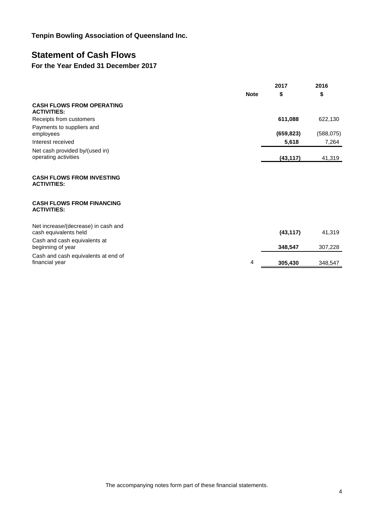# **Statement of Cash Flows**

# **For the Year Ended 31 December 2017**

|                                                              |             | 2017       | 2016       |
|--------------------------------------------------------------|-------------|------------|------------|
|                                                              | <b>Note</b> | \$         | \$         |
| <b>CASH FLOWS FROM OPERATING</b><br><b>ACTIVITIES:</b>       |             |            |            |
| Receipts from customers                                      |             | 611,088    | 622,130    |
| Payments to suppliers and<br>employees                       |             | (659, 823) | (588, 075) |
| Interest received                                            |             | 5,618      | 7,264      |
| Net cash provided by/(used in)<br>operating activities       |             | (43, 117)  | 41,319     |
| <b>CASH FLOWS FROM INVESTING</b>                             |             |            |            |
| <b>ACTIVITIES:</b>                                           |             |            |            |
| <b>CASH FLOWS FROM FINANCING</b><br><b>ACTIVITIES:</b>       |             |            |            |
| Net increase/(decrease) in cash and<br>cash equivalents held |             | (43, 117)  | 41,319     |
| Cash and cash equivalents at<br>beginning of year            |             | 348,547    | 307,228    |
| Cash and cash equivalents at end of<br>financial year        | 4           | 305,430    | 348,547    |

The accompanying notes form part of these financial statements.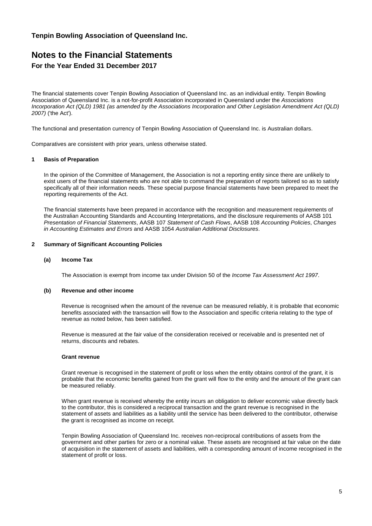# **Notes to the Financial Statements For the Year Ended 31 December 2017**

The financial statements cover Tenpin Bowling Association of Queensland Inc. as an individual entity. Tenpin Bowling Association of Queensland Inc. is a not-for-profit Association incorporated in Queensland under the *Associations Incorporation Act (QLD) 1981 (as amended by the Associations Incorporation and Other Legislation Amendment Act (QLD) 2007)* ('the Act').

The functional and presentation currency of Tenpin Bowling Association of Queensland Inc. is Australian dollars.

Comparatives are consistent with prior years, unless otherwise stated.

#### **1 Basis of Preparation**

In the opinion of the Committee of Management, the Association is not a reporting entity since there are unlikely to exist users of the financial statements who are not able to command the preparation of reports tailored so as to satisfy specifically all of their information needs. These special purpose financial statements have been prepared to meet the reporting requirements of the Act.

The financial statements have been prepared in accordance with the recognition and measurement requirements of the Australian Accounting Standards and Accounting Interpretations, and the disclosure requirements of AASB 101 *Presentation of Financial Statements*, AASB 107 *Statement of Cash Flows*, AASB 108 *Accounting Policies*, *Changes in Accounting Estimates and Errors* and AASB 1054 *Australian Additional Disclosures*.

### **2 Summary of Significant Accounting Policies**

#### **(a) Income Tax**

The Association is exempt from income tax under Division 50 of the *Income Tax Assessment Act 1997*.

#### **(b) Revenue and other income**

Revenue is recognised when the amount of the revenue can be measured reliably, it is probable that economic benefits associated with the transaction will flow to the Association and specific criteria relating to the type of revenue as noted below, has been satisfied.

Revenue is measured at the fair value of the consideration received or receivable and is presented net of returns, discounts and rebates.

#### **Grant revenue**

Grant revenue is recognised in the statement of profit or loss when the entity obtains control of the grant, it is probable that the economic benefits gained from the grant will flow to the entity and the amount of the grant can be measured reliably.

When grant revenue is received whereby the entity incurs an obligation to deliver economic value directly back to the contributor, this is considered a reciprocal transaction and the grant revenue is recognised in the statement of assets and liabilities as a liability until the service has been delivered to the contributor, otherwise the grant is recognised as income on receipt.

Tenpin Bowling Association of Queensland Inc. receives non-reciprocal contributions of assets from the government and other parties for zero or a nominal value. These assets are recognised at fair value on the date of acquisition in the statement of assets and liabilities, with a corresponding amount of income recognised in the statement of profit or loss.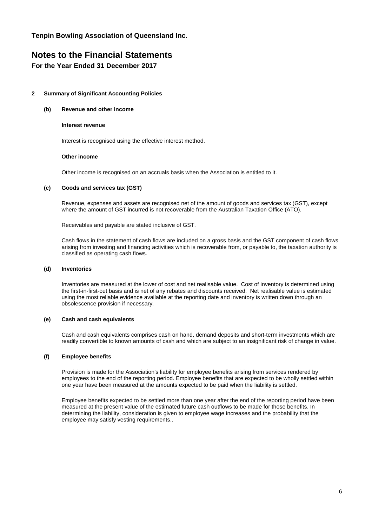# **Notes to the Financial Statements**

**For the Year Ended 31 December 2017**

# **2 Summary of Significant Accounting Policies**

### **(b) Revenue and other income**

### **Interest revenue**

Interest is recognised using the effective interest method.

### **Other income**

Other income is recognised on an accruals basis when the Association is entitled to it.

### **(c) Goods and services tax (GST)**

Revenue, expenses and assets are recognised net of the amount of goods and services tax (GST), except where the amount of GST incurred is not recoverable from the Australian Taxation Office (ATO).

Receivables and payable are stated inclusive of GST.

Cash flows in the statement of cash flows are included on a gross basis and the GST component of cash flows arising from investing and financing activities which is recoverable from, or payable to, the taxation authority is classified as operating cash flows.

### **(d) Inventories**

Inventories are measured at the lower of cost and net realisable value. Cost of inventory is determined using the first-in-first-out basis and is net of any rebates and discounts received. Net realisable value is estimated using the most reliable evidence available at the reporting date and inventory is written down through an obsolescence provision if necessary.

# **(e) Cash and cash equivalents**

Cash and cash equivalents comprises cash on hand, demand deposits and short-term investments which are readily convertible to known amounts of cash and which are subject to an insignificant risk of change in value.

# **(f) Employee benefits**

Provision is made for the Association's liability for employee benefits arising from services rendered by employees to the end of the reporting period. Employee benefits that are expected to be wholly settled within one year have been measured at the amounts expected to be paid when the liability is settled.

Employee benefits expected to be settled more than one year after the end of the reporting period have been measured at the present value of the estimated future cash outflows to be made for those benefits. In determining the liability, consideration is given to employee wage increases and the probability that the employee may satisfy vesting requirements..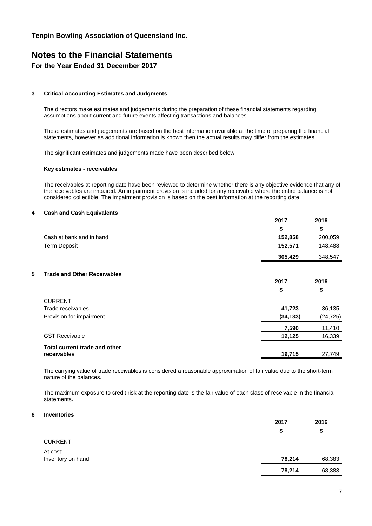# **Notes to the Financial Statements**

# **For the Year Ended 31 December 2017**

# **3 Critical Accounting Estimates and Judgments**

The directors make estimates and judgements during the preparation of these financial statements regarding assumptions about current and future events affecting transactions and balances.

These estimates and judgements are based on the best information available at the time of preparing the financial statements, however as additional information is known then the actual results may differ from the estimates.

The significant estimates and judgements made have been described below.

### **Key estimates - receivables**

The receivables at reporting date have been reviewed to determine whether there is any objective evidence that any of the receivables are impaired. An impairment provision is included for any receivable where the entire balance is not considered collectible. The impairment provision is based on the best information at the reporting date.

### **4 Cash and Cash Equivalents**

|                                         | 2017      | 2016      |
|-----------------------------------------|-----------|-----------|
|                                         | \$        | \$        |
| Cash at bank and in hand                | 152,858   | 200,059   |
| <b>Term Deposit</b>                     | 152,571   | 148,488   |
|                                         | 305,429   | 348,547   |
|                                         |           |           |
| 5<br><b>Trade and Other Receivables</b> |           |           |
|                                         | 2017      | 2016      |
|                                         | \$        | \$        |
| <b>CURRENT</b>                          |           |           |
| Trade receivables                       | 41,723    | 36,135    |
| Provision for impairment                | (34, 133) | (24, 725) |
|                                         | 7,590     | 11,410    |
| <b>GST Receivable</b>                   | 12,125    | 16,339    |
| Total current trade and other           |           |           |
| receivables                             | 19,715    | 27,749    |

The carrying value of trade receivables is considered a reasonable approximation of fair value due to the short-term nature of the balances.

The maximum exposure to credit risk at the reporting date is the fair value of each class of receivable in the financial statements.

# **6 Inventories**

|                   | 2017   | 2016   |
|-------------------|--------|--------|
|                   | \$     | \$     |
| <b>CURRENT</b>    |        |        |
| At cost:          |        |        |
| Inventory on hand | 78,214 | 68,383 |
|                   | 78,214 | 68,383 |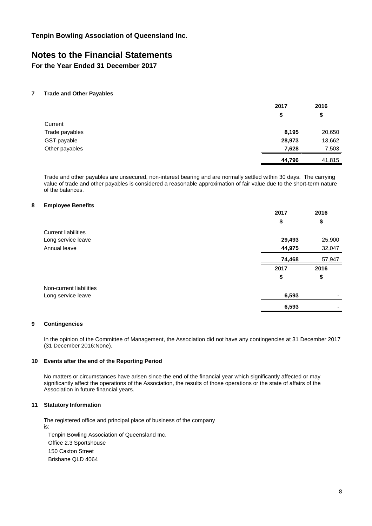# **Notes to the Financial Statements**

**For the Year Ended 31 December 2017**

### **7 Trade and Other Payables**

|                | 2017   | 2016   |
|----------------|--------|--------|
|                | \$     | \$     |
| Current        |        |        |
| Trade payables | 8,195  | 20,650 |
| GST payable    | 28,973 | 13,662 |
| Other payables | 7,628  | 7,503  |
|                | 44,796 | 41,815 |

Trade and other payables are unsecured, non-interest bearing and are normally settled within 30 days. The carrying value of trade and other payables is considered a reasonable approximation of fair value due to the short-term nature of the balances.

### **8 Employee Benefits**

|                            | 2017   | 2016   |
|----------------------------|--------|--------|
|                            | \$     | \$     |
| <b>Current liabilities</b> |        |        |
| Long service leave         | 29,493 | 25,900 |
| Annual leave               | 44,975 | 32,047 |
|                            | 74,468 | 57,947 |
|                            | 2017   | 2016   |
|                            | \$     | \$     |
| Non-current liabilities    |        |        |
| Long service leave         | 6,593  |        |
|                            | 6,593  |        |

# **9 Contingencies**

In the opinion of the Committee of Management, the Association did not have any contingencies at 31 December 2017 (31 December 2016:None).

### **10 Events after the end of the Reporting Period**

No matters or circumstances have arisen since the end of the financial year which significantly affected or may significantly affect the operations of the Association, the results of those operations or the state of affairs of the Association in future financial years.

#### **11 Statutory Information**

The registered office and principal place of business of the company is:

Tenpin Bowling Association of Queensland Inc. Office 2.3 Sportshouse 150 Caxton Street Brisbane QLD 4064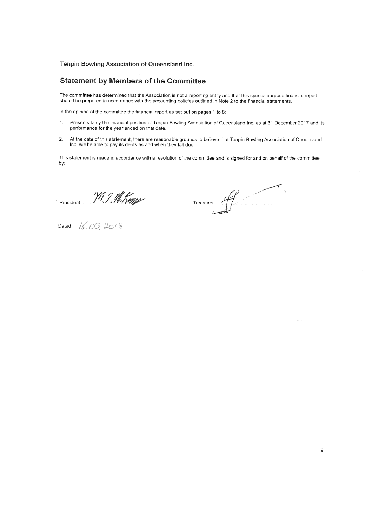# **Statement by Members of the Committee**

The committee has determined that the Association is not a reporting entity and that this special purpose financial report should be prepared in accordance with the accounting policies outlined in Note 2 to the financial s

In the opinion of the committee the financial report as set out on pages 1 to 8:

- $1.$ Presents fairly the financial position of Tenpin Bowling Association of Queensland Inc. as at 31 December 2017 and its performance for the year ended on that date.
- At the date of this statement, there are reasonable grounds to believe that Tenpin Bowling Association of Queensland<br>Inc. will be able to pay its debts as and when they fall due.  $2.$

This statement is made in accordance with a resolution of the committee and is signed for and on behalf of the committee by:

President W.J. M.King

Treasurer ...

Dated  $16.052018$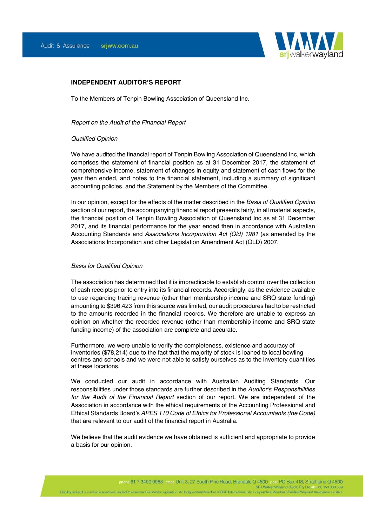

# **INDEPENDENT AUDITOR'S REPORT**

To the Members of Tenpin Bowling Association of Queensland Inc.

#### *Report on the Audit of the Financial Report*

#### *Qualified Opinion*

We have audited the financial report of Tenpin Bowling Association of Queensland Inc, which comprises the statement of financial position as at 31 December 2017, the statement of comprehensive income, statement of changes in equity and statement of cash flows for the year then ended, and notes to the financial statement, including a summary of significant accounting policies, and the Statement by the Members of the Committee.

In our opinion, except for the effects of the matter described in the *Basis of Qualified Opinion* section of our report, the accompanying financial report presents fairly, in all material aspects, the financial position of Tenpin Bowling Association of Queensland Inc as at 31 December 2017, and its financial performance for the year ended then in accordance with Australian Accounting Standards and *Associations Incorporation Act (Qld) 1981* (as amended by the Associations Incorporation and other Legislation Amendment Act (QLD) 2007.

#### *Basis for Qualified Opinion*

The association has determined that it is impracticable to establish control over the collection of cash receipts prior to entry into its financial records. Accordingly, as the evidence available to use regarding tracing revenue (other than membership income and SRQ state funding) amounting to \$396,423 from this source was limited, our audit procedures had to be restricted to the amounts recorded in the financial records. We therefore are unable to express an opinion on whether the recorded revenue (other than membership income and SRQ state funding income) of the association are complete and accurate.

Furthermore, we were unable to verify the completeness, existence and accuracy of inventories (\$78,214) due to the fact that the majority of stock is loaned to local bowling centres and schools and we were not able to satisfy ourselves as to the inventory quantities at these locations.

We conducted our audit in accordance with Australian Auditing Standards. Our responsibilities under those standards are further described in the *Auditor's Responsibilities for the Audit of the Financial Report* section of our report. We are independent of the Association in accordance with the ethical requirements of the Accounting Professional and Ethical Standards Board's *APES 110 Code of Ethics for Professional Accountants (the Code)* that are relevant to our audit of the financial report in Australia.

We believe that the audit evidence we have obtained is sufficient and appropriate to provide a basis for our opinion.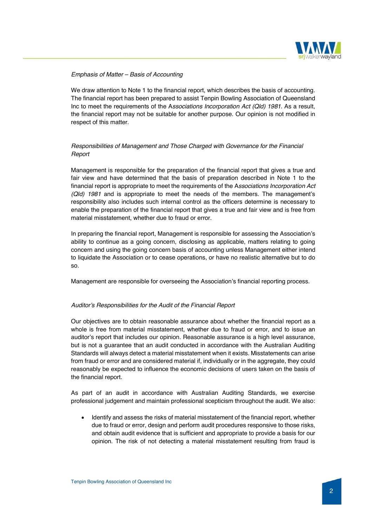

# *Emphasis of Matter – Basis of Accounting*

We draw attention to Note 1 to the financial report, which describes the basis of accounting. The financial report has been prepared to assist Tenpin Bowling Association of Queensland Inc to meet the requirements of the A*ssociations Incorporation Act (Qld) 1981*. As a result, the financial report may not be suitable for another purpose. Our opinion is not modified in respect of this matter.

# *Responsibilities of Management and Those Charged with Governance for the Financial Report*

Management is responsible for the preparation of the financial report that gives a true and fair view and have determined that the basis of preparation described in Note 1 to the financial report is appropriate to meet the requirements of the A*ssociations Incorporation Act (Qld) 1981* and is appropriate to meet the needs of the members. The management's responsibility also includes such internal control as the officers determine is necessary to enable the preparation of the financial report that gives a true and fair view and is free from material misstatement, whether due to fraud or error.

In preparing the financial report, Management is responsible for assessing the Association's ability to continue as a going concern, disclosing as applicable, matters relating to going concern and using the going concern basis of accounting unless Management either intend to liquidate the Association or to cease operations, or have no realistic alternative but to do so.

Management are responsible for overseeing the Association's financial reporting process.

# *Auditor's Responsibilities for the Audit of the Financial Report*

Our objectives are to obtain reasonable assurance about whether the financial report as a whole is free from material misstatement, whether due to fraud or error, and to issue an auditor's report that includes our opinion. Reasonable assurance is a high level assurance, but is not a guarantee that an audit conducted in accordance with the Australian Auditing Standards will always detect a material misstatement when it exists. Misstatements can arise from fraud or error and are considered material if, individually or in the aggregate, they could reasonably be expected to influence the economic decisions of users taken on the basis of the financial report.

As part of an audit in accordance with Australian Auditing Standards, we exercise professional judgement and maintain professional scepticism throughout the audit. We also:

Identify and assess the risks of material misstatement of the financial report, whether due to fraud or error, design and perform audit procedures responsive to those risks, and obtain audit evidence that is sufficient and appropriate to provide a basis for our opinion. The risk of not detecting a material misstatement resulting from fraud is